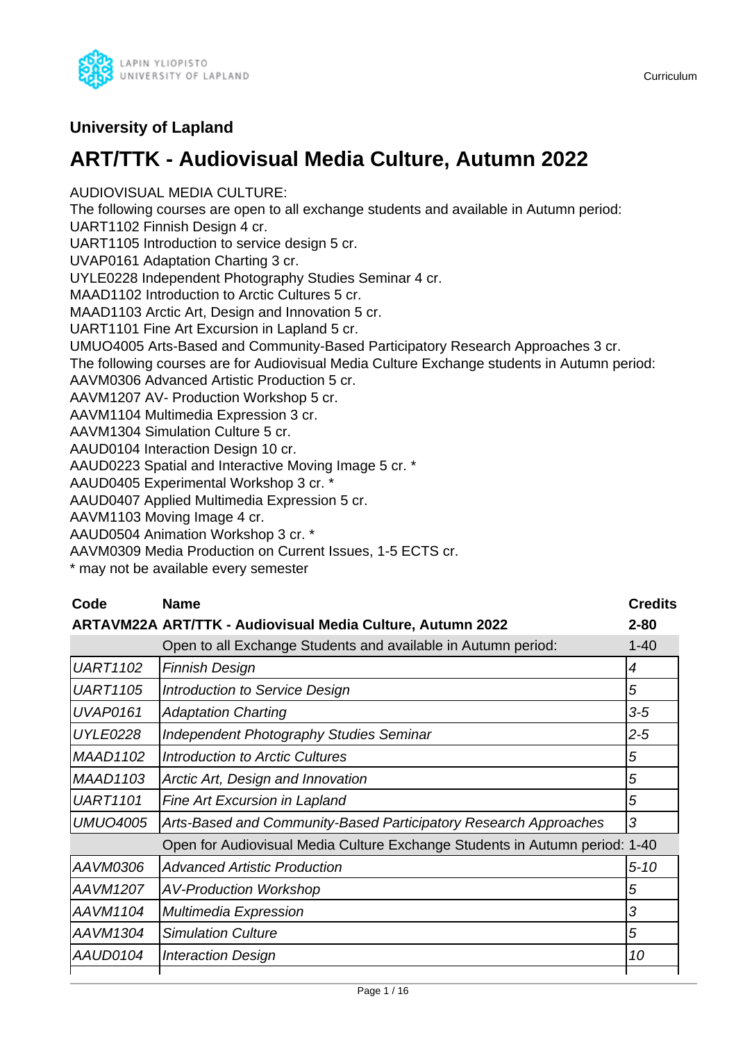

### **University of Lapland**

# **ART/TTK - Audiovisual Media Culture, Autumn 2022**

AUDIOVISUAL MEDIA CULTURE: The following courses are open to all exchange students and available in Autumn period: UART1102 Finnish Design 4 cr. UART1105 Introduction to service design 5 cr. UVAP0161 Adaptation Charting 3 cr. UYLE0228 Independent Photography Studies Seminar 4 cr. MAAD1102 Introduction to Arctic Cultures 5 cr. MAAD1103 Arctic Art, Design and Innovation 5 cr. UART1101 Fine Art Excursion in Lapland 5 cr. UMUO4005 Arts-Based and Community-Based Participatory Research Approaches 3 cr. The following courses are for Audiovisual Media Culture Exchange students in Autumn period: AAVM0306 Advanced Artistic Production 5 cr. AAVM1207 AV- Production Workshop 5 cr. AAVM1104 Multimedia Expression 3 cr. AAVM1304 Simulation Culture 5 cr. AAUD0104 Interaction Design 10 cr. AAUD0223 Spatial and Interactive Moving Image 5 cr. \* AAUD0405 Experimental Workshop 3 cr. \* AAUD0407 Applied Multimedia Expression 5 cr. AAVM1103 Moving Image 4 cr. AAUD0504 Animation Workshop 3 cr. \*

AAVM0309 Media Production on Current Issues, 1-5 ECTS cr.

\* may not be available every semester

| Code            | <b>Name</b>                                                                 | <b>Credits</b> |
|-----------------|-----------------------------------------------------------------------------|----------------|
|                 | <b>ARTAVM22A ART/TTK - Audiovisual Media Culture, Autumn 2022</b>           | $2 - 80$       |
|                 | Open to all Exchange Students and available in Autumn period:               | $1 - 40$       |
| <b>UART1102</b> | <b>Finnish Design</b>                                                       | 4              |
| <b>UART1105</b> | Introduction to Service Design                                              | 5              |
| <b>UVAP0161</b> | <b>Adaptation Charting</b>                                                  | $3-5$          |
| <b>UYLE0228</b> | <b>Independent Photography Studies Seminar</b>                              | $2 - 5$        |
| <b>MAAD1102</b> | Introduction to Arctic Cultures                                             | 5              |
| <b>MAAD1103</b> | Arctic Art, Design and Innovation                                           | 5              |
| <b>UART1101</b> | Fine Art Excursion in Lapland                                               | 5              |
| <b>UMUO4005</b> | Arts-Based and Community-Based Participatory Research Approaches            | 3              |
|                 | Open for Audiovisual Media Culture Exchange Students in Autumn period: 1-40 |                |
| AAVM0306        | <b>Advanced Artistic Production</b>                                         | $5 - 10$       |
| AAVM1207        | <b>AV-Production Workshop</b>                                               | 5              |
| AAVM1104        | <b>Multimedia Expression</b>                                                | 3              |
| AAVM1304        | <b>Simulation Culture</b>                                                   | 5              |
| AAUD0104        | <b>Interaction Design</b>                                                   | 10             |
|                 |                                                                             |                |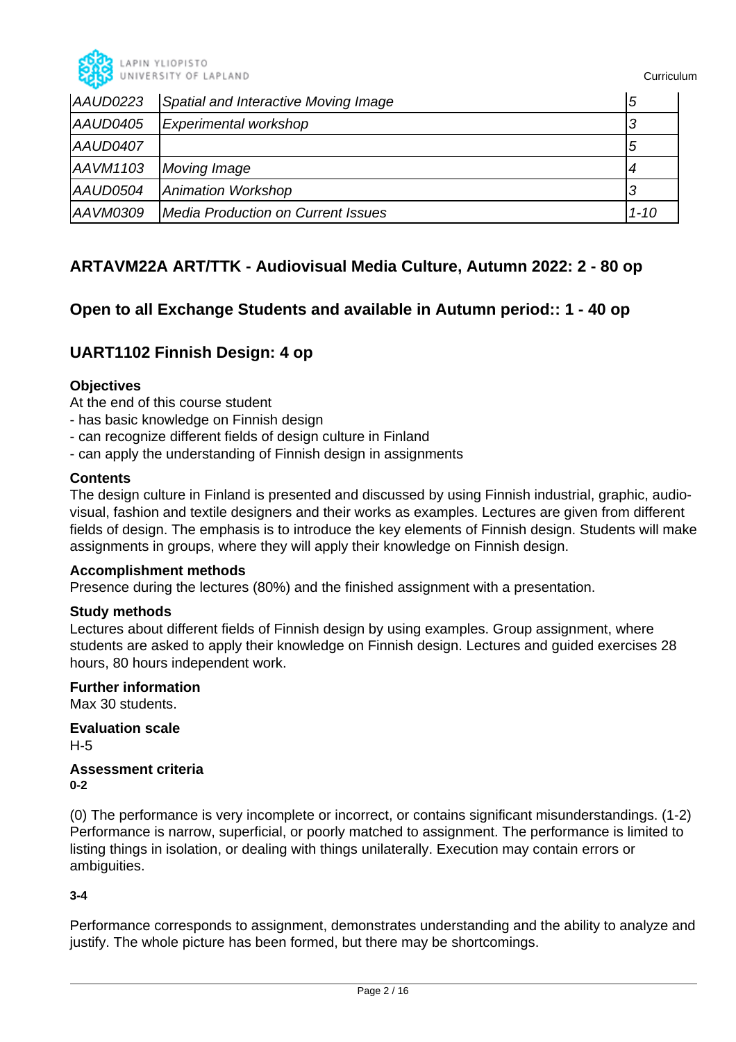

| AAUD0223 | Spatial and Interactive Moving Image | 5        |
|----------|--------------------------------------|----------|
| AAUD0405 | Experimental workshop                |          |
| AAUD0407 |                                      | b        |
| AAVM1103 | Moving Image                         |          |
| AAUD0504 | Animation Workshop                   |          |
| AAVM0309 | Media Production on Current Issues   | $1 - 10$ |

### **ARTAVM22A ART/TTK - Audiovisual Media Culture, Autumn 2022: 2 - 80 op**

### **Open to all Exchange Students and available in Autumn period:: 1 - 40 op**

### **UART1102 Finnish Design: 4 op**

### **Objectives**

At the end of this course student

- has basic knowledge on Finnish design
- can recognize different fields of design culture in Finland
- can apply the understanding of Finnish design in assignments

### **Contents**

The design culture in Finland is presented and discussed by using Finnish industrial, graphic, audiovisual, fashion and textile designers and their works as examples. Lectures are given from different fields of design. The emphasis is to introduce the key elements of Finnish design. Students will make assignments in groups, where they will apply their knowledge on Finnish design.

### **Accomplishment methods**

Presence during the lectures (80%) and the finished assignment with a presentation.

### **Study methods**

Lectures about different fields of Finnish design by using examples. Group assignment, where students are asked to apply their knowledge on Finnish design. Lectures and guided exercises 28 hours, 80 hours independent work.

### **Further information**

Max 30 students.

**Evaluation scale** H-5

**Assessment criteria 0-2**

(0) The performance is very incomplete or incorrect, or contains significant misunderstandings. (1-2) Performance is narrow, superficial, or poorly matched to assignment. The performance is limited to listing things in isolation, or dealing with things unilaterally. Execution may contain errors or ambiguities.

### **3-4**

Performance corresponds to assignment, demonstrates understanding and the ability to analyze and justify. The whole picture has been formed, but there may be shortcomings.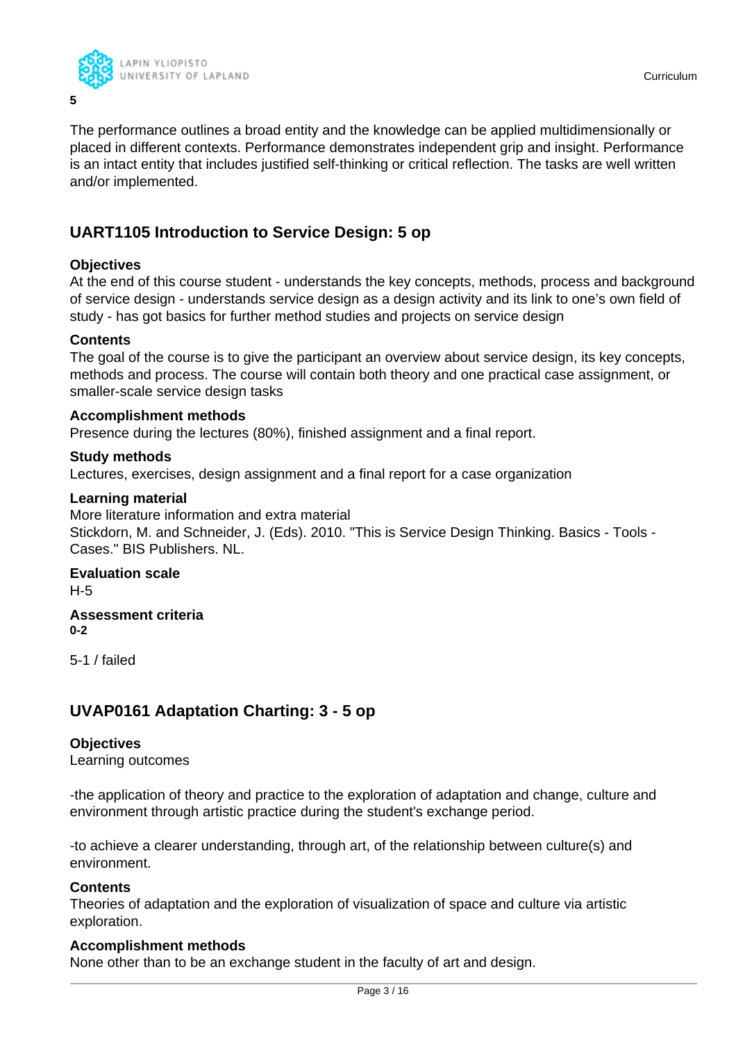

The performance outlines a broad entity and the knowledge can be applied multidimensionally or placed in different contexts. Performance demonstrates independent grip and insight. Performance is an intact entity that includes justified self-thinking or critical reflection. The tasks are well written and/or implemented.

### **UART1105 Introduction to Service Design: 5 op**

### **Objectives**

At the end of this course student - understands the key concepts, methods, process and background of service design - understands service design as a design activity and its link to one's own field of study - has got basics for further method studies and projects on service design

### **Contents**

The goal of the course is to give the participant an overview about service design, its key concepts, methods and process. The course will contain both theory and one practical case assignment, or smaller-scale service design tasks

### **Accomplishment methods**

Presence during the lectures (80%), finished assignment and a final report.

### **Study methods**

Lectures, exercises, design assignment and a final report for a case organization

### **Learning material**

More literature information and extra material Stickdorn, M. and Schneider, J. (Eds). 2010. "This is Service Design Thinking. Basics - Tools - Cases." BIS Publishers. NL.

### **Evaluation scale** H-5

**Assessment criteria 0-2**

5-1 / failed

### **UVAP0161 Adaptation Charting: 3 - 5 op**

### **Objectives**

Learning outcomes

-the application of theory and practice to the exploration of adaptation and change, culture and environment through artistic practice during the student's exchange period.

-to achieve a clearer understanding, through art, of the relationship between culture(s) and environment.

### **Contents**

Theories of adaptation and the exploration of visualization of space and culture via artistic exploration.

### **Accomplishment methods**

None other than to be an exchange student in the faculty of art and design.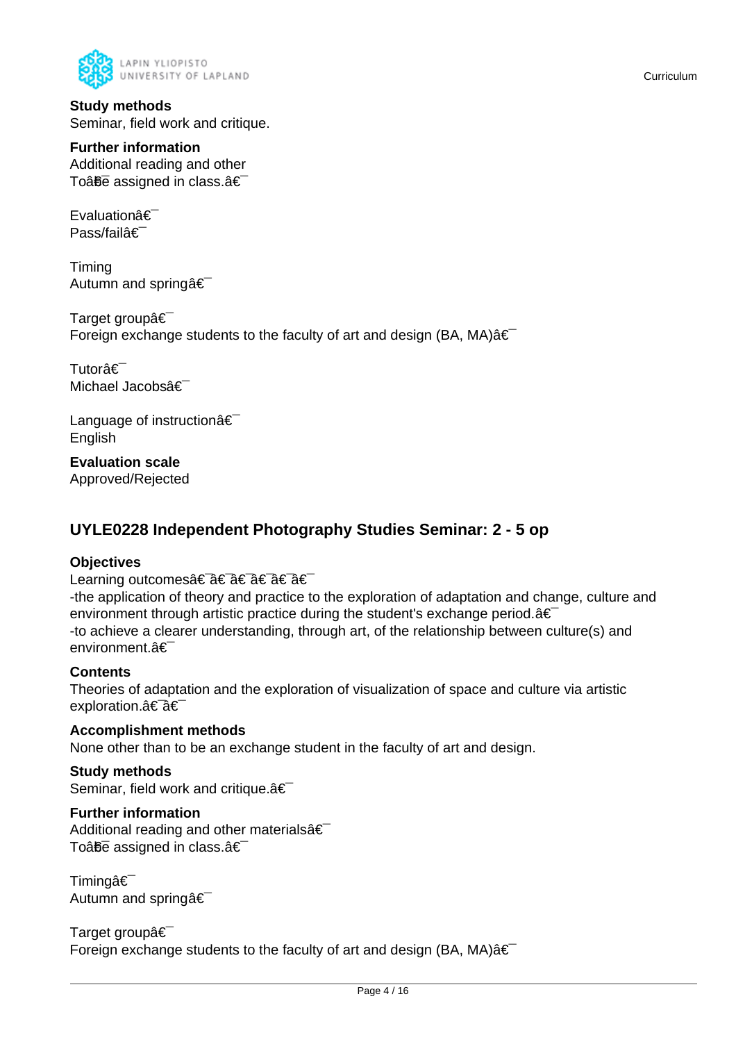

**Study methods** Seminar, field work and critique.

### **Further information**

Additional reading and other To $\hat{a}$  $\hat{b}$  assigned in class. $\hat{a} \in$ 

Evaluationâ€ Pass/failâ€

Timing Autumn and spring  $\hat{\mathbf{a}} \in \mathbb{R}$ 

Target groupâ€ Foreign exchange students to the faculty of art and design (BA, MA) $\hat{a} \in$ 

Tutorâ€<sup>-</sup> Michael Jacobsâ€

Language of instructionâ€ English

**Evaluation scale** Approved/Rejected

### **UYLE0228 Independent Photography Studies Seminar: 2 - 5 op**

### **Objectives**

Learning outcomes†â€ a€ †â€ â€

-the application of theory and practice to the exploration of adaptation and change, culture and environment through artistic practice during the student's exchange period. $a \in I$ -to achieve a clearer understanding, through art, of the relationship between culture(s) and environment.â€

### **Contents**

Theories of adaptation and the exploration of visualization of space and culture via artistic exploration.a<sup>€-</sup>a€

**Accomplishment methods** None other than to be an exchange student in the faculty of art and design.

### **Study methods**

Seminar, field work and critique. a€

### **Further information**

Additional reading and other materials  $\hat{\epsilon}$ To $\hat{a}$  $\hat{b}$ e assigned in class. $\hat{a} \in \hat{b}$ 

Timingâ€ Autumn and spring  $\hat{\mathbf{a}} \in \mathbb{R}$ 

Target groupâ€ Foreign exchange students to the faculty of art and design (BA, MA) $\hat{a} \in \hat{a}$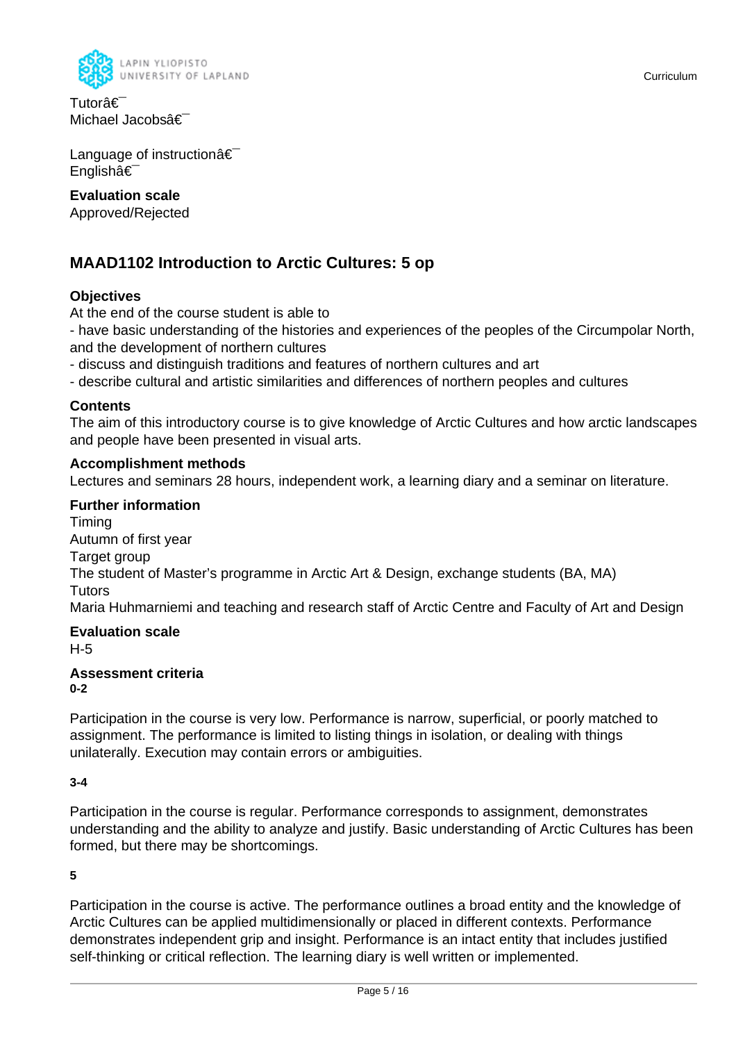

Tutorâ€<sup>-</sup> Michael Jacobsâ€

Language of instructionâ€ Englishâ€

### **Evaluation scale**

Approved/Rejected

### **MAAD1102 Introduction to Arctic Cultures: 5 op**

### **Objectives**

At the end of the course student is able to

- have basic understanding of the histories and experiences of the peoples of the Circumpolar North, and the development of northern cultures

- discuss and distinguish traditions and features of northern cultures and art

- describe cultural and artistic similarities and differences of northern peoples and cultures

### **Contents**

The aim of this introductory course is to give knowledge of Arctic Cultures and how arctic landscapes and people have been presented in visual arts.

### **Accomplishment methods**

Lectures and seminars 28 hours, independent work, a learning diary and a seminar on literature.

### **Further information**

Timing Autumn of first year Target group The student of Master's programme in Arctic Art & Design, exchange students (BA, MA) Tutors Maria Huhmarniemi and teaching and research staff of Arctic Centre and Faculty of Art and Design

### **Evaluation scale**

H-5

#### **Assessment criteria 0-2**

Participation in the course is very low. Performance is narrow, superficial, or poorly matched to assignment. The performance is limited to listing things in isolation, or dealing with things unilaterally. Execution may contain errors or ambiguities.

### **3-4**

Participation in the course is regular. Performance corresponds to assignment, demonstrates understanding and the ability to analyze and justify. Basic understanding of Arctic Cultures has been formed, but there may be shortcomings.

### **5**

Participation in the course is active. The performance outlines a broad entity and the knowledge of Arctic Cultures can be applied multidimensionally or placed in different contexts. Performance demonstrates independent grip and insight. Performance is an intact entity that includes justified self-thinking or critical reflection. The learning diary is well written or implemented.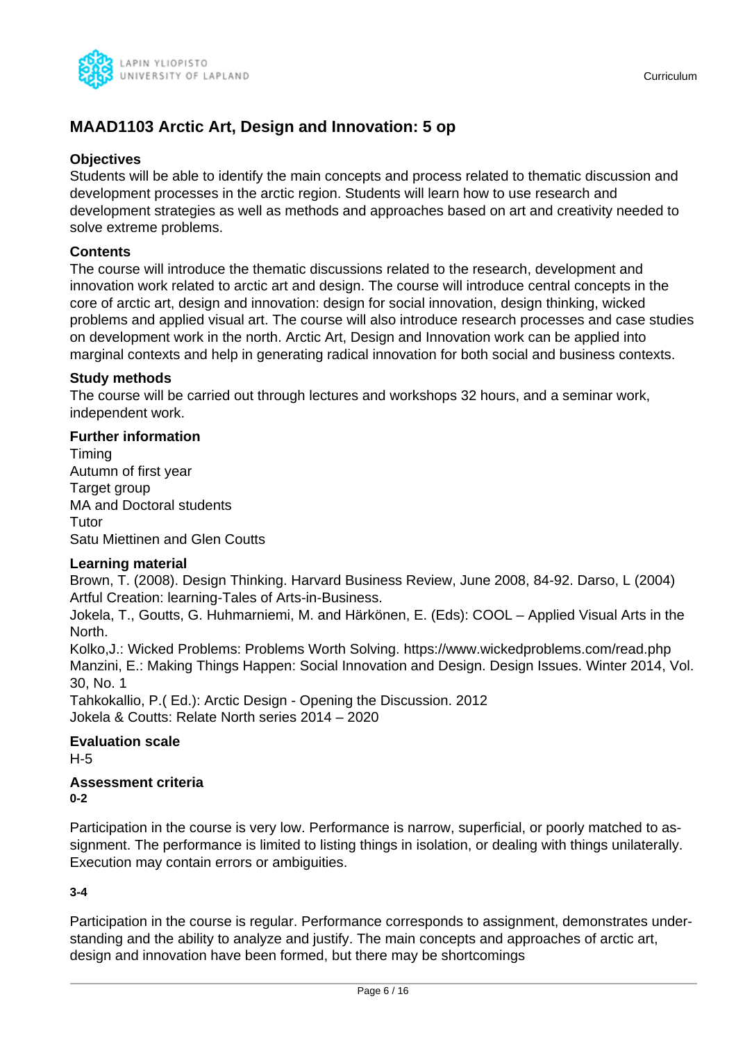

### **MAAD1103 Arctic Art, Design and Innovation: 5 op**

### **Objectives**

Students will be able to identify the main concepts and process related to thematic discussion and development processes in the arctic region. Students will learn how to use research and development strategies as well as methods and approaches based on art and creativity needed to solve extreme problems.

### **Contents**

The course will introduce the thematic discussions related to the research, development and innovation work related to arctic art and design. The course will introduce central concepts in the core of arctic art, design and innovation: design for social innovation, design thinking, wicked problems and applied visual art. The course will also introduce research processes and case studies on development work in the north. Arctic Art, Design and Innovation work can be applied into marginal contexts and help in generating radical innovation for both social and business contexts.

### **Study methods**

The course will be carried out through lectures and workshops 32 hours, and a seminar work, independent work.

### **Further information**

Timing Autumn of first year Target group MA and Doctoral students Tutor Satu Miettinen and Glen Coutts

### **Learning material**

Brown, T. (2008). Design Thinking. Harvard Business Review, June 2008, 84-92. Darso, L (2004) Artful Creation: learning-Tales of Arts-in-Business.

Jokela, T., Goutts, G. Huhmarniemi, M. and Härkönen, E. (Eds): COOL – Applied Visual Arts in the North.

Kolko,J.: Wicked Problems: Problems Worth Solving. https://www.wickedproblems.com/read.php Manzini, E.: Making Things Happen: Social Innovation and Design. Design Issues. Winter 2014, Vol. 30, No. 1

Tahkokallio, P.( Ed.): Arctic Design - Opening the Discussion. 2012 Jokela & Coutts: Relate North series 2014 – 2020

### **Evaluation scale**

H-5

#### **Assessment criteria 0-2**

Participation in the course is very low. Performance is narrow, superficial, or poorly matched to assignment. The performance is limited to listing things in isolation, or dealing with things unilaterally. Execution may contain errors or ambiguities.

### **3-4**

Participation in the course is regular. Performance corresponds to assignment, demonstrates understanding and the ability to analyze and justify. The main concepts and approaches of arctic art, design and innovation have been formed, but there may be shortcomings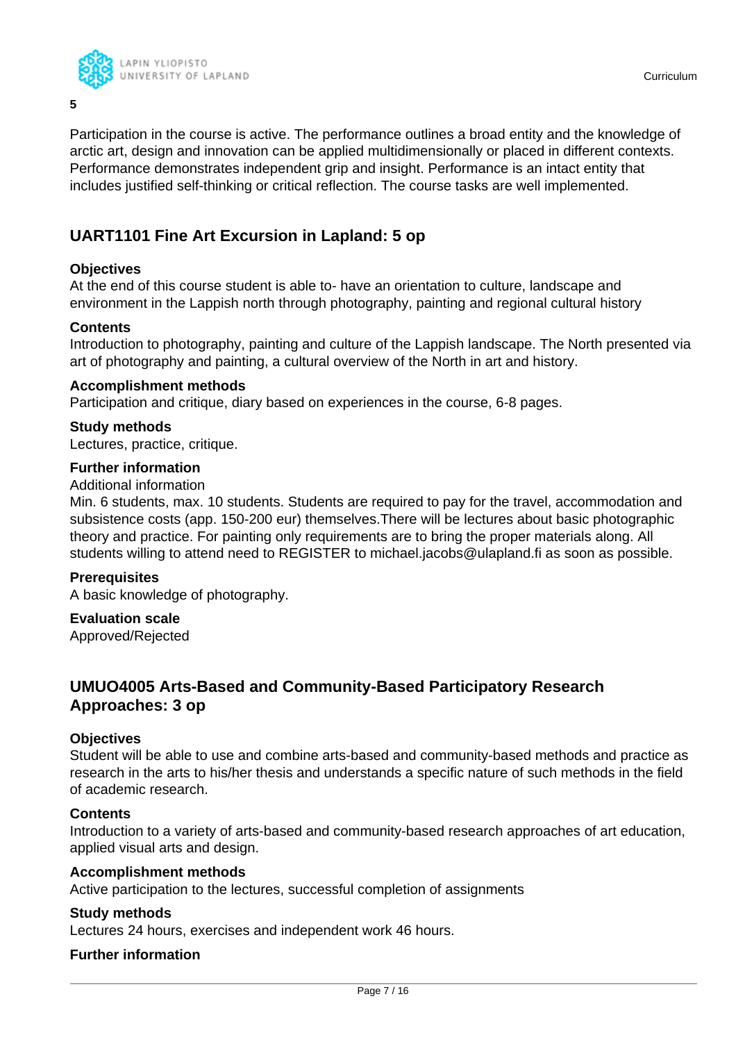

Participation in the course is active. The performance outlines a broad entity and the knowledge of arctic art, design and innovation can be applied multidimensionally or placed in different contexts. Performance demonstrates independent grip and insight. Performance is an intact entity that includes justified self-thinking or critical reflection. The course tasks are well implemented.

### **UART1101 Fine Art Excursion in Lapland: 5 op**

### **Objectives**

**5**

At the end of this course student is able to- have an orientation to culture, landscape and environment in the Lappish north through photography, painting and regional cultural history

### **Contents**

Introduction to photography, painting and culture of the Lappish landscape. The North presented via art of photography and painting, a cultural overview of the North in art and history.

### **Accomplishment methods**

Participation and critique, diary based on experiences in the course, 6-8 pages.

### **Study methods**

Lectures, practice, critique.

### **Further information**

Additional information

Min. 6 students, max. 10 students. Students are required to pay for the travel, accommodation and subsistence costs (app. 150-200 eur) themselves.There will be lectures about basic photographic theory and practice. For painting only requirements are to bring the proper materials along. All students willing to attend need to REGISTER to michael.jacobs@ulapland.fi as soon as possible.

### **Prerequisites**

A basic knowledge of photography.

### **Evaluation scale**

Approved/Rejected

### **UMUO4005 Arts-Based and Community-Based Participatory Research Approaches: 3 op**

### **Objectives**

Student will be able to use and combine arts-based and community-based methods and practice as research in the arts to his/her thesis and understands a specific nature of such methods in the field of academic research.

### **Contents**

Introduction to a variety of arts-based and community-based research approaches of art education, applied visual arts and design.

### **Accomplishment methods**

Active participation to the lectures, successful completion of assignments

### **Study methods**

Lectures 24 hours, exercises and independent work 46 hours.

### **Further information**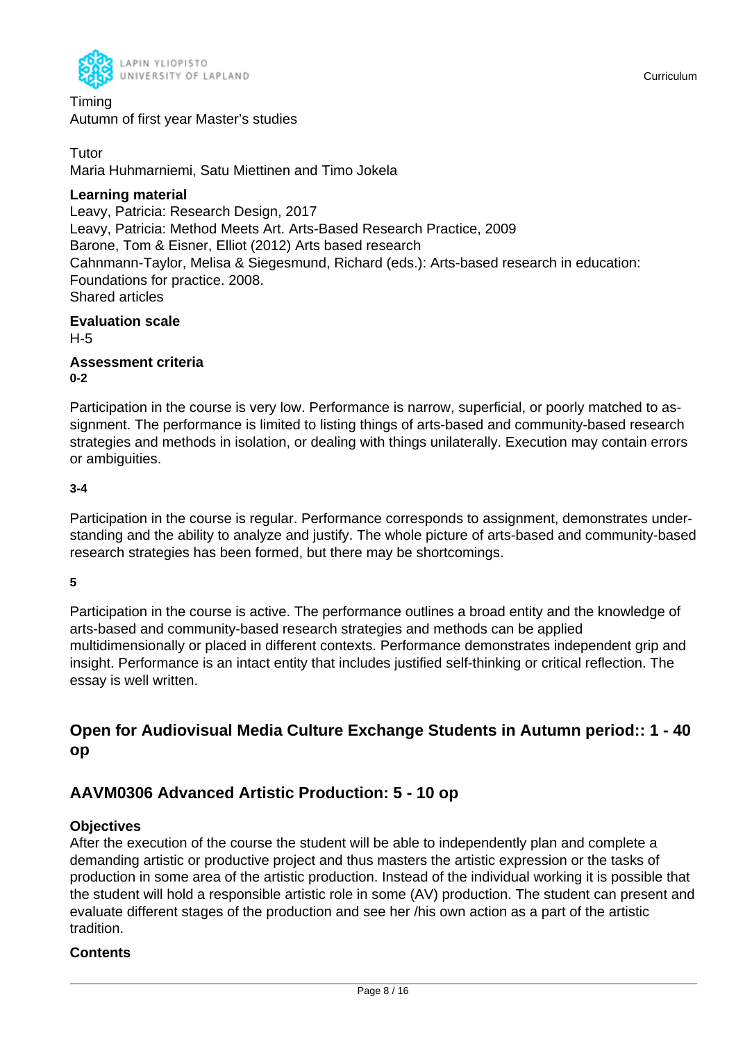

Timing Autumn of first year Master's studies

**Tutor** Maria Huhmarniemi, Satu Miettinen and Timo Jokela

### **Learning material**

Leavy, Patricia: Research Design, 2017 Leavy, Patricia: Method Meets Art. Arts-Based Research Practice, 2009 Barone, Tom & Eisner, Elliot (2012) Arts based research Cahnmann-Taylor, Melisa & Siegesmund, Richard (eds.): Arts-based research in education: Foundations for practice. 2008. Shared articles

**Evaluation scale** H-5

**Assessment criteria 0-2**

Participation in the course is very low. Performance is narrow, superficial, or poorly matched to assignment. The performance is limited to listing things of arts-based and community-based research strategies and methods in isolation, or dealing with things unilaterally. Execution may contain errors or ambiguities.

### **3-4**

Participation in the course is regular. Performance corresponds to assignment, demonstrates understanding and the ability to analyze and justify. The whole picture of arts-based and community-based research strategies has been formed, but there may be shortcomings.

### **5**

Participation in the course is active. The performance outlines a broad entity and the knowledge of arts-based and community-based research strategies and methods can be applied multidimensionally or placed in different contexts. Performance demonstrates independent grip and insight. Performance is an intact entity that includes justified self-thinking or critical reflection. The essay is well written.

### **Open for Audiovisual Media Culture Exchange Students in Autumn period:: 1 - 40 op**

### **AAVM0306 Advanced Artistic Production: 5 - 10 op**

### **Objectives**

After the execution of the course the student will be able to independently plan and complete a demanding artistic or productive project and thus masters the artistic expression or the tasks of production in some area of the artistic production. Instead of the individual working it is possible that the student will hold a responsible artistic role in some (AV) production. The student can present and evaluate different stages of the production and see her /his own action as a part of the artistic tradition.

### **Contents**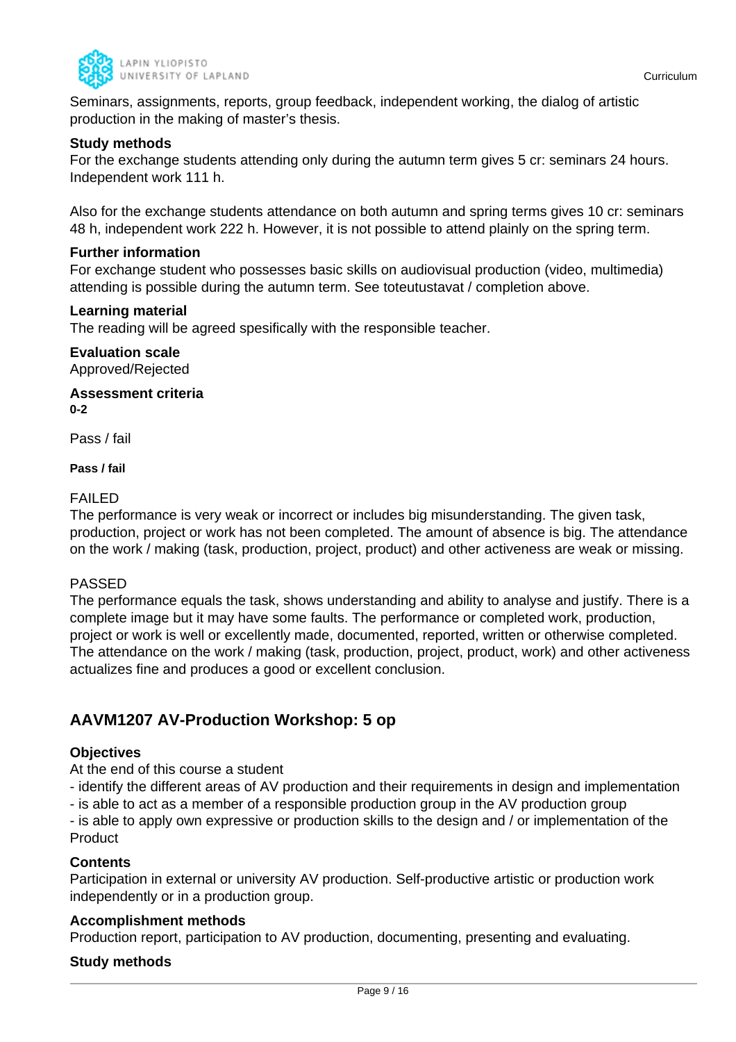

Seminars, assignments, reports, group feedback, independent working, the dialog of artistic production in the making of master's thesis.

### **Study methods**

For the exchange students attending only during the autumn term gives 5 cr: seminars 24 hours. Independent work 111 h.

Also for the exchange students attendance on both autumn and spring terms gives 10 cr: seminars 48 h, independent work 222 h. However, it is not possible to attend plainly on the spring term.

### **Further information**

For exchange student who possesses basic skills on audiovisual production (video, multimedia) attending is possible during the autumn term. See toteutustavat / completion above.

### **Learning material**

The reading will be agreed spesifically with the responsible teacher.

### **Evaluation scale** Approved/Rejected

**Assessment criteria 0-2**

Pass / fail

### **Pass / fail**

### FAILED

The performance is very weak or incorrect or includes big misunderstanding. The given task, production, project or work has not been completed. The amount of absence is big. The attendance on the work / making (task, production, project, product) and other activeness are weak or missing.

### PASSED

The performance equals the task, shows understanding and ability to analyse and justify. There is a complete image but it may have some faults. The performance or completed work, production, project or work is well or excellently made, documented, reported, written or otherwise completed. The attendance on the work / making (task, production, project, product, work) and other activeness actualizes fine and produces a good or excellent conclusion.

### **AAVM1207 AV-Production Workshop: 5 op**

### **Objectives**

At the end of this course a student

- identify the different areas of AV production and their requirements in design and implementation

- is able to act as a member of a responsible production group in the AV production group

- is able to apply own expressive or production skills to the design and / or implementation of the **Product** 

### **Contents**

Participation in external or university AV production. Self-productive artistic or production work independently or in a production group.

### **Accomplishment methods**

Production report, participation to AV production, documenting, presenting and evaluating.

### **Study methods**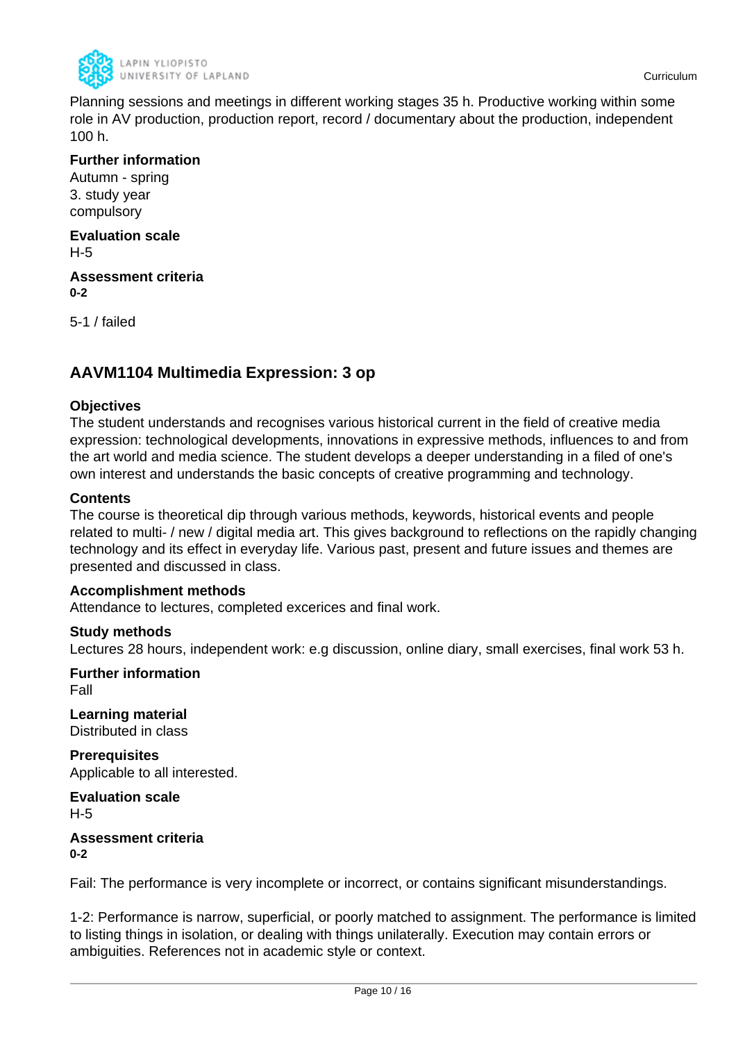

Planning sessions and meetings in different working stages 35 h. Productive working within some role in AV production, production report, record / documentary about the production, independent 100 h.

### **Further information**

Autumn - spring 3. study year compulsory

#### **Evaluation scale** H-5

**Assessment criteria 0-2**

5-1 / failed

### **AAVM1104 Multimedia Expression: 3 op**

### **Objectives**

The student understands and recognises various historical current in the field of creative media expression: technological developments, innovations in expressive methods, influences to and from the art world and media science. The student develops a deeper understanding in a filed of one's own interest and understands the basic concepts of creative programming and technology.

### **Contents**

The course is theoretical dip through various methods, keywords, historical events and people related to multi- / new / digital media art. This gives background to reflections on the rapidly changing technology and its effect in everyday life. Various past, present and future issues and themes are presented and discussed in class.

### **Accomplishment methods**

Attendance to lectures, completed excerices and final work.

### **Study methods**

Lectures 28 hours, independent work: e.g discussion, online diary, small exercises, final work 53 h.

**Further information** Fall

**Learning material** Distributed in class

**Prerequisites** Applicable to all interested.

**Evaluation scale** H-5

### **Assessment criteria 0-2**

Fail: The performance is very incomplete or incorrect, or contains significant misunderstandings.

1-2: Performance is narrow, superficial, or poorly matched to assignment. The performance is limited to listing things in isolation, or dealing with things unilaterally. Execution may contain errors or ambiguities. References not in academic style or context.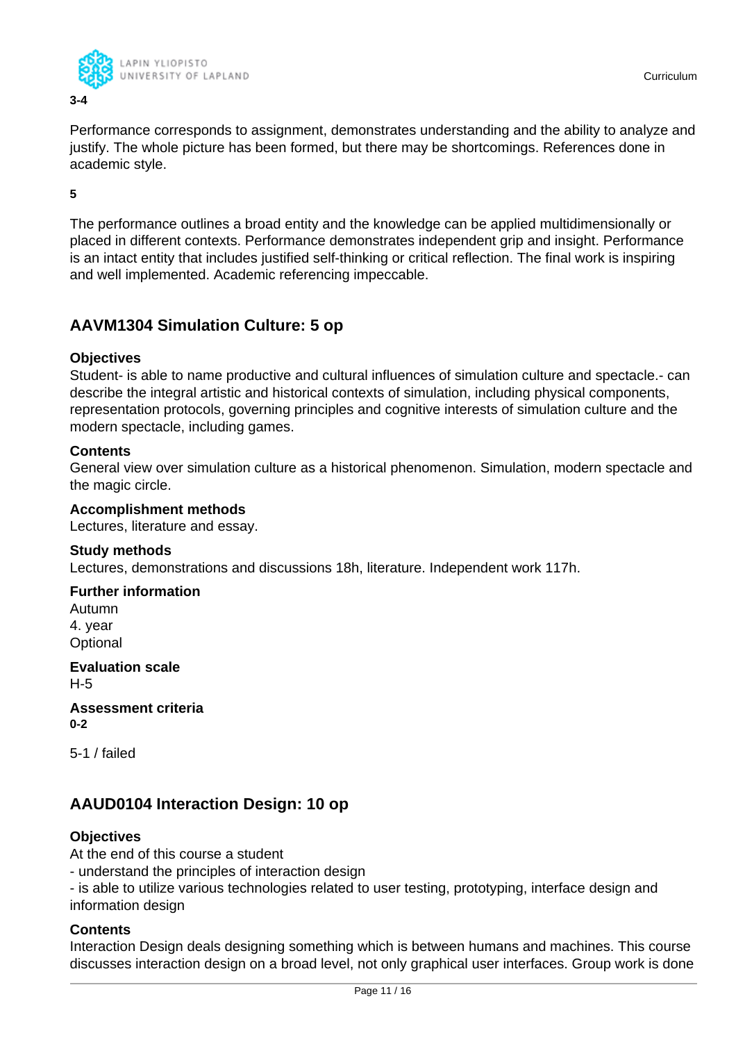

Performance corresponds to assignment, demonstrates understanding and the ability to analyze and justify. The whole picture has been formed, but there may be shortcomings. References done in academic style.

**5**

The performance outlines a broad entity and the knowledge can be applied multidimensionally or placed in different contexts. Performance demonstrates independent grip and insight. Performance is an intact entity that includes justified self-thinking or critical reflection. The final work is inspiring and well implemented. Academic referencing impeccable.

### **AAVM1304 Simulation Culture: 5 op**

### **Objectives**

Student- is able to name productive and cultural influences of simulation culture and spectacle.- can describe the integral artistic and historical contexts of simulation, including physical components, representation protocols, governing principles and cognitive interests of simulation culture and the modern spectacle, including games.

### **Contents**

General view over simulation culture as a historical phenomenon. Simulation, modern spectacle and the magic circle.

### **Accomplishment methods**

Lectures, literature and essay.

### **Study methods**

Lectures, demonstrations and discussions 18h, literature. Independent work 117h.

### **Further information**

Autumn 4. year **Optional** 

**Evaluation scale** H-5

**Assessment criteria 0-2**

5-1 / failed

### **AAUD0104 Interaction Design: 10 op**

### **Objectives**

At the end of this course a student

- understand the principles of interaction design

- is able to utilize various technologies related to user testing, prototyping, interface design and information design

### **Contents**

Interaction Design deals designing something which is between humans and machines. This course discusses interaction design on a broad level, not only graphical user interfaces. Group work is done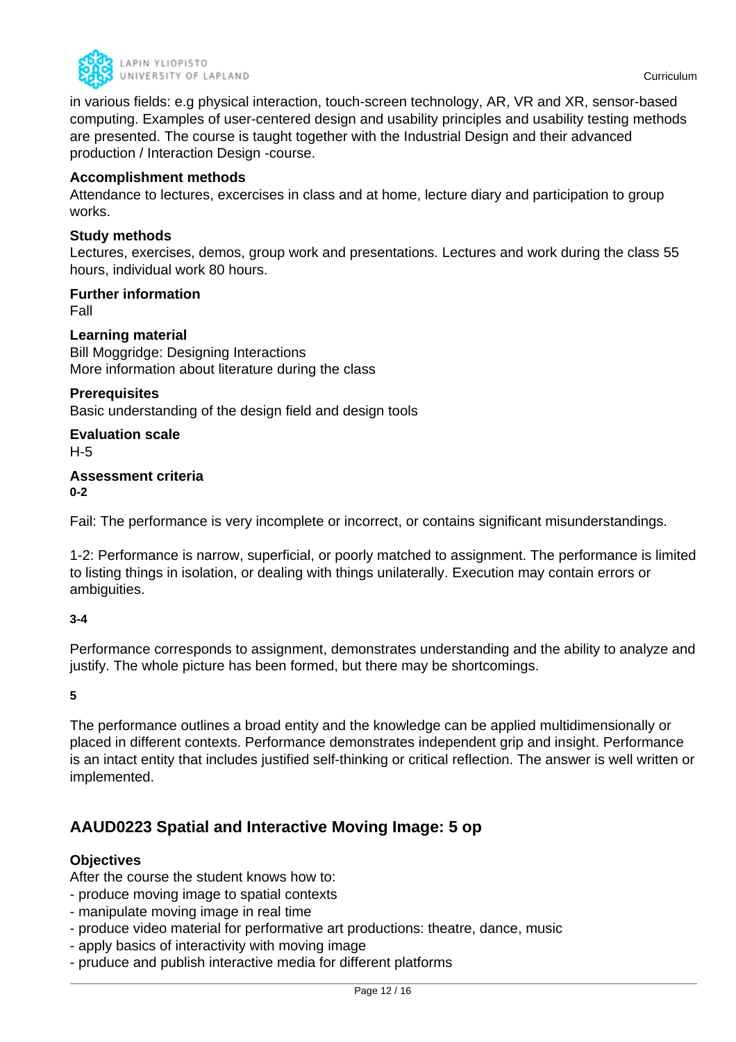

in various fields: e.g physical interaction, touch-screen technology, AR, VR and XR, sensor-based computing. Examples of user-centered design and usability principles and usability testing methods are presented. The course is taught together with the Industrial Design and their advanced production / Interaction Design -course.

### **Accomplishment methods**

Attendance to lectures, excercises in class and at home, lecture diary and participation to group works.

### **Study methods**

Lectures, exercises, demos, group work and presentations. Lectures and work during the class 55 hours, individual work 80 hours.

### **Further information**

Fall

### **Learning material**

Bill Moggridge: Designing Interactions More information about literature during the class

#### **Prerequisites**

Basic understanding of the design field and design tools

**Evaluation scale**

H-5

### **Assessment criteria 0-2**

Fail: The performance is very incomplete or incorrect, or contains significant misunderstandings.

1-2: Performance is narrow, superficial, or poorly matched to assignment. The performance is limited to listing things in isolation, or dealing with things unilaterally. Execution may contain errors or ambiguities.

### **3-4**

Performance corresponds to assignment, demonstrates understanding and the ability to analyze and justify. The whole picture has been formed, but there may be shortcomings.

**5**

The performance outlines a broad entity and the knowledge can be applied multidimensionally or placed in different contexts. Performance demonstrates independent grip and insight. Performance is an intact entity that includes justified self-thinking or critical reflection. The answer is well written or implemented.

### **AAUD0223 Spatial and Interactive Moving Image: 5 op**

### **Objectives**

After the course the student knows how to:

- produce moving image to spatial contexts
- manipulate moving image in real time
- produce video material for performative art productions: theatre, dance, music
- apply basics of interactivity with moving image
- pruduce and publish interactive media for different platforms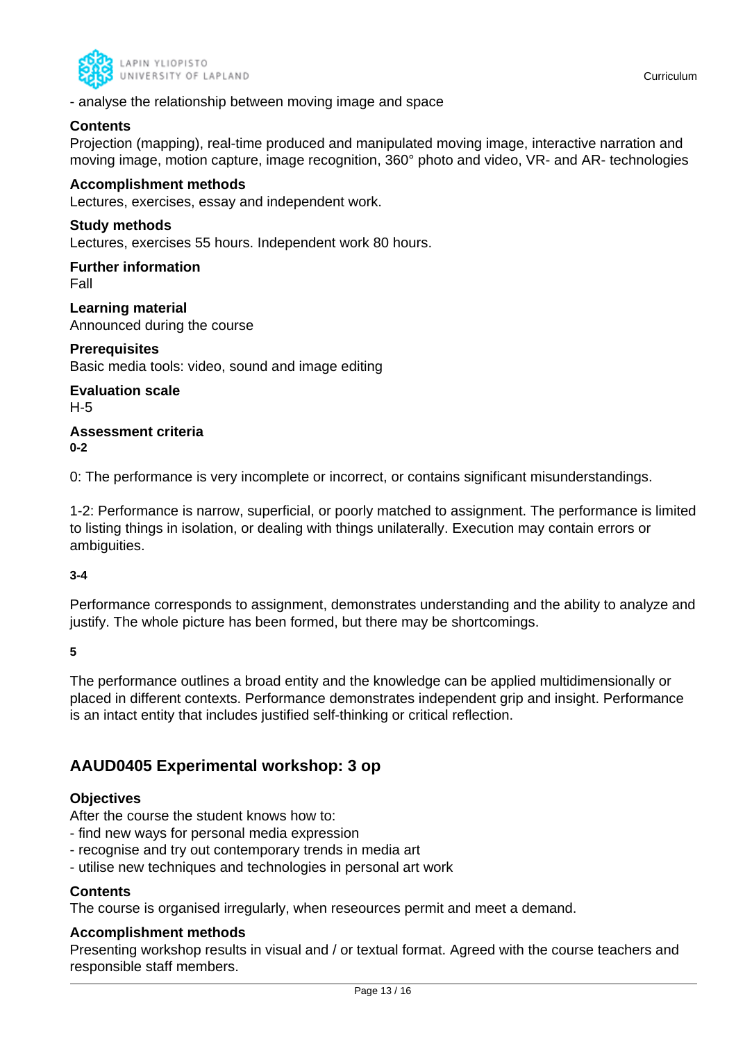

- analyse the relationship between moving image and space

### **Contents**

Projection (mapping), real-time produced and manipulated moving image, interactive narration and moving image, motion capture, image recognition, 360° photo and video, VR- and AR- technologies

### **Accomplishment methods**

Lectures, exercises, essay and independent work.

### **Study methods**

Lectures, exercises 55 hours. Independent work 80 hours.

## **Further information**

Fall

**Learning material** Announced during the course

**Prerequisites** Basic media tools: video, sound and image editing

**Evaluation scale**

H-5

#### **Assessment criteria 0-2**

0: The performance is very incomplete or incorrect, or contains significant misunderstandings.

1-2: Performance is narrow, superficial, or poorly matched to assignment. The performance is limited to listing things in isolation, or dealing with things unilaterally. Execution may contain errors or ambiguities.

### **3-4**

Performance corresponds to assignment, demonstrates understanding and the ability to analyze and justify. The whole picture has been formed, but there may be shortcomings.

**5**

The performance outlines a broad entity and the knowledge can be applied multidimensionally or placed in different contexts. Performance demonstrates independent grip and insight. Performance is an intact entity that includes justified self-thinking or critical reflection.

### **AAUD0405 Experimental workshop: 3 op**

### **Objectives**

After the course the student knows how to:

- find new ways for personal media expression
- recognise and try out contemporary trends in media art
- utilise new techniques and technologies in personal art work

### **Contents**

The course is organised irregularly, when reseources permit and meet a demand.

### **Accomplishment methods**

Presenting workshop results in visual and / or textual format. Agreed with the course teachers and responsible staff members.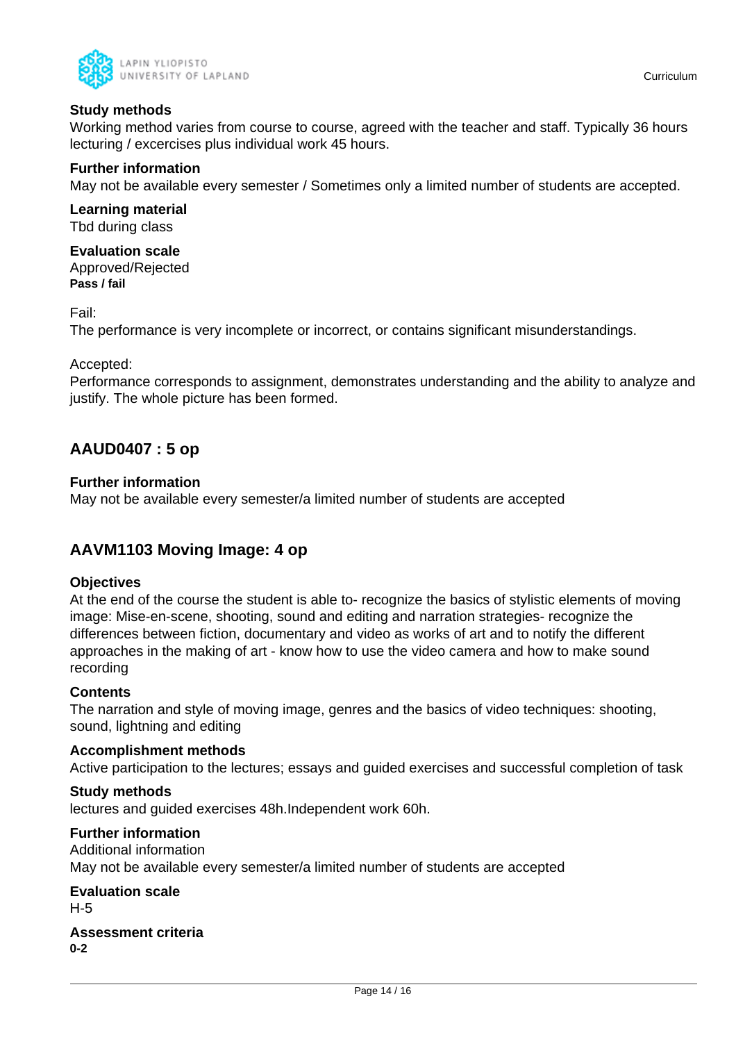

### **Study methods**

Working method varies from course to course, agreed with the teacher and staff. Typically 36 hours lecturing / excercises plus individual work 45 hours.

### **Further information**

May not be available every semester / Sometimes only a limited number of students are accepted.

**Learning material** Tbd during class

**Evaluation scale** Approved/Rejected **Pass / fail**

Fail:

The performance is very incomplete or incorrect, or contains significant misunderstandings.

### Accepted:

Performance corresponds to assignment, demonstrates understanding and the ability to analyze and justify. The whole picture has been formed.

### **AAUD0407 : 5 op**

### **Further information**

May not be available every semester/a limited number of students are accepted

### **AAVM1103 Moving Image: 4 op**

### **Objectives**

At the end of the course the student is able to- recognize the basics of stylistic elements of moving image: Mise-en-scene, shooting, sound and editing and narration strategies- recognize the differences between fiction, documentary and video as works of art and to notify the different approaches in the making of art - know how to use the video camera and how to make sound recording

### **Contents**

The narration and style of moving image, genres and the basics of video techniques: shooting, sound, lightning and editing

### **Accomplishment methods**

Active participation to the lectures; essays and guided exercises and successful completion of task

### **Study methods**

lectures and guided exercises 48h.Independent work 60h.

### **Further information**

Additional information May not be available every semester/a limited number of students are accepted

**Evaluation scale** H-5

**Assessment criteria 0-2**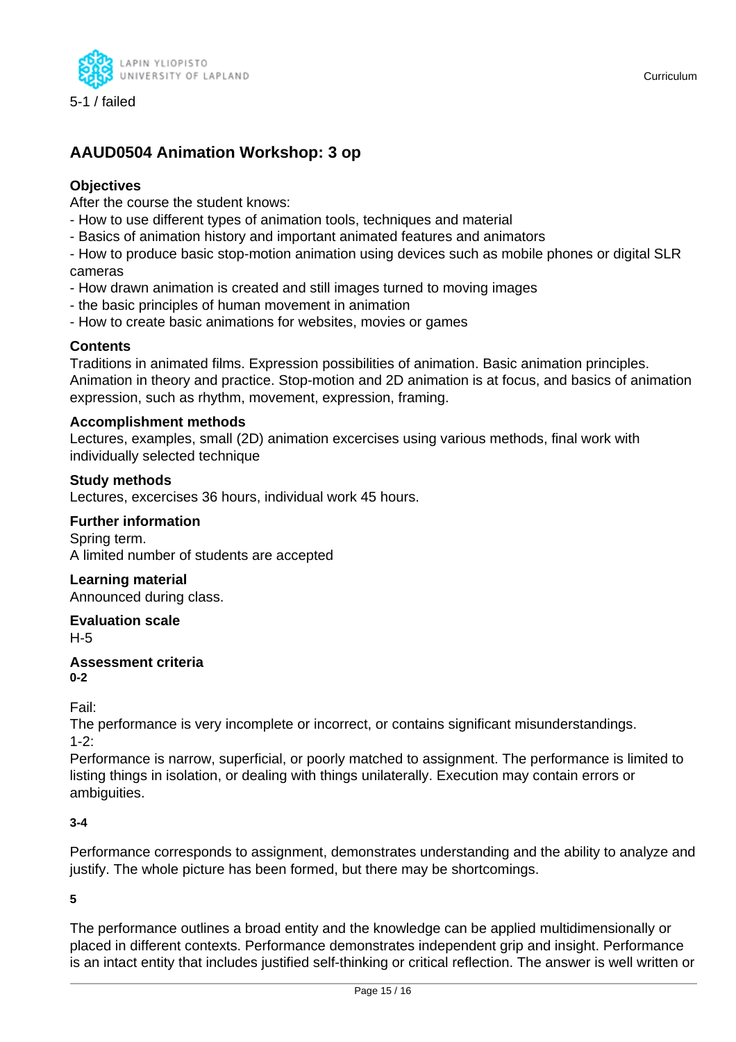

### **AAUD0504 Animation Workshop: 3 op**

### **Objectives**

After the course the student knows:

- How to use different types of animation tools, techniques and material
- Basics of animation history and important animated features and animators

- How to produce basic stop-motion animation using devices such as mobile phones or digital SLR cameras

- How drawn animation is created and still images turned to moving images
- the basic principles of human movement in animation
- How to create basic animations for websites, movies or games

### **Contents**

Traditions in animated films. Expression possibilities of animation. Basic animation principles. Animation in theory and practice. Stop-motion and 2D animation is at focus, and basics of animation expression, such as rhythm, movement, expression, framing.

### **Accomplishment methods**

Lectures, examples, small (2D) animation excercises using various methods, final work with individually selected technique

### **Study methods**

Lectures, excercises 36 hours, individual work 45 hours.

### **Further information**

Spring term. A limited number of students are accepted

### **Learning material**

Announced during class.

### **Evaluation scale**

H-5

#### **Assessment criteria 0-2**

Fail:

The performance is very incomplete or incorrect, or contains significant misunderstandings.  $1 - 2$ 

Performance is narrow, superficial, or poorly matched to assignment. The performance is limited to listing things in isolation, or dealing with things unilaterally. Execution may contain errors or ambiguities.

### **3-4**

Performance corresponds to assignment, demonstrates understanding and the ability to analyze and justify. The whole picture has been formed, but there may be shortcomings.

**5**

The performance outlines a broad entity and the knowledge can be applied multidimensionally or placed in different contexts. Performance demonstrates independent grip and insight. Performance is an intact entity that includes justified self-thinking or critical reflection. The answer is well written or